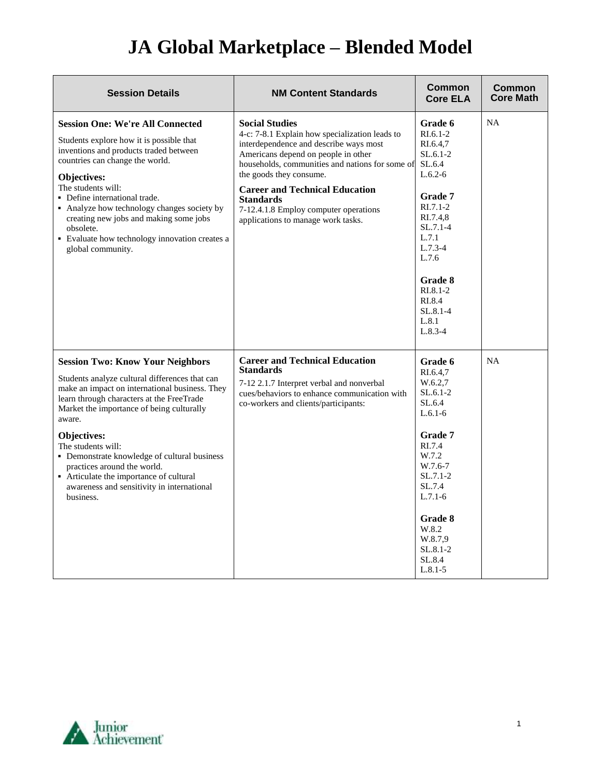## **JA Global Marketplace – Blended Model**

| <b>Session Details</b>                                                                                                                                                                                                                                                                                                                                                                                                                                                    | <b>NM Content Standards</b>                                                                                                                                                                                                                                                                                                                                                        | Common<br><b>Core ELA</b>                                                                                                                                                                                        | Common<br><b>Core Math</b> |
|---------------------------------------------------------------------------------------------------------------------------------------------------------------------------------------------------------------------------------------------------------------------------------------------------------------------------------------------------------------------------------------------------------------------------------------------------------------------------|------------------------------------------------------------------------------------------------------------------------------------------------------------------------------------------------------------------------------------------------------------------------------------------------------------------------------------------------------------------------------------|------------------------------------------------------------------------------------------------------------------------------------------------------------------------------------------------------------------|----------------------------|
| <b>Session One: We're All Connected</b><br>Students explore how it is possible that<br>inventions and products traded between<br>countries can change the world.<br><b>Objectives:</b><br>The students will:<br>• Define international trade.<br>• Analyze how technology changes society by<br>creating new jobs and making some jobs<br>obsolete.<br>• Evaluate how technology innovation creates a<br>global community.                                                | <b>Social Studies</b><br>4-c: 7-8.1 Explain how specialization leads to<br>interdependence and describe ways most<br>Americans depend on people in other<br>households, communities and nations for some of<br>the goods they consume.<br><b>Career and Technical Education</b><br><b>Standards</b><br>7-12.4.1.8 Employ computer operations<br>applications to manage work tasks. | Grade 6<br>$R1.6.1-2$<br>RI.6.4,7<br>$SL.6.1-2$<br>SL.6.4<br>$L.6.2-6$<br><b>Grade 7</b><br>$RI.7.1-2$<br>RI.7.4,8<br>$SL.7.1-4$<br>L.7.1<br>$L.7.3-4$<br>L.7.6<br>Grade 8<br>RI.8.1-2<br>RI.8.4<br>$SL.8.1 - 4$ | <b>NA</b>                  |
|                                                                                                                                                                                                                                                                                                                                                                                                                                                                           |                                                                                                                                                                                                                                                                                                                                                                                    | L.8.1<br>$L.8.3-4$                                                                                                                                                                                               |                            |
| <b>Session Two: Know Your Neighbors</b><br>Students analyze cultural differences that can<br>make an impact on international business. They<br>learn through characters at the FreeTrade<br>Market the importance of being culturally<br>aware.<br>Objectives:<br>The students will:<br>• Demonstrate knowledge of cultural business<br>practices around the world.<br>• Articulate the importance of cultural<br>awareness and sensitivity in international<br>business. | <b>Career and Technical Education</b><br><b>Standards</b><br>7-12 2.1.7 Interpret verbal and nonverbal<br>cues/behaviors to enhance communication with<br>co-workers and clients/participants:                                                                                                                                                                                     | Grade 6<br>RI.6.4,7<br>W.6.2,7<br>$SL.6.1-2$<br>SL.6.4<br>$L.6.1-6$<br><b>Grade 7</b><br>RI.7.4<br>W.7.2<br>W.7.6-7<br>$SL.7.1-2$<br>SL.7.4<br>$L.7.1-6$                                                         | <b>NA</b>                  |
|                                                                                                                                                                                                                                                                                                                                                                                                                                                                           |                                                                                                                                                                                                                                                                                                                                                                                    | Grade 8<br>W.8.2<br>W.8.7,9<br>$SL.8.1 - 2$<br>SL.8.4<br>$L.8.1 - 5$                                                                                                                                             |                            |

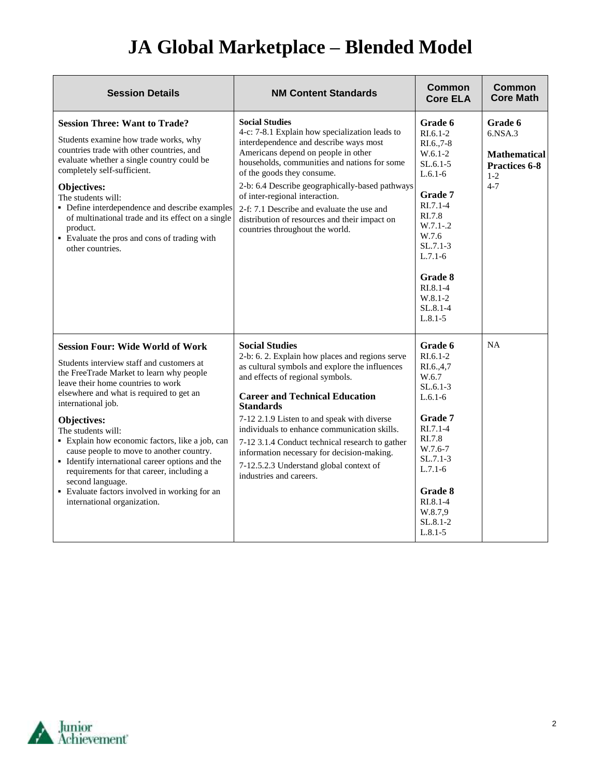## **JA Global Marketplace – Blended Model**

| <b>Session Details</b>                                                                                                                                                                                                                                                                                                                                                                                                                                                                                                                                                                  | <b>NM Content Standards</b>                                                                                                                                                                                                                                                                                                                                                                                                                                                                       | <b>Common</b><br><b>Core ELA</b>                                                                                                                                                                                                           | <b>Common</b><br><b>Core Math</b>                                                       |
|-----------------------------------------------------------------------------------------------------------------------------------------------------------------------------------------------------------------------------------------------------------------------------------------------------------------------------------------------------------------------------------------------------------------------------------------------------------------------------------------------------------------------------------------------------------------------------------------|---------------------------------------------------------------------------------------------------------------------------------------------------------------------------------------------------------------------------------------------------------------------------------------------------------------------------------------------------------------------------------------------------------------------------------------------------------------------------------------------------|--------------------------------------------------------------------------------------------------------------------------------------------------------------------------------------------------------------------------------------------|-----------------------------------------------------------------------------------------|
| <b>Session Three: Want to Trade?</b><br>Students examine how trade works, why<br>countries trade with other countries, and<br>evaluate whether a single country could be<br>completely self-sufficient.<br>Objectives:<br>The students will:<br>• Define interdependence and describe examples<br>of multinational trade and its effect on a single<br>product.<br>• Evaluate the pros and cons of trading with<br>other countries.                                                                                                                                                     | <b>Social Studies</b><br>4-c: 7-8.1 Explain how specialization leads to<br>interdependence and describe ways most<br>Americans depend on people in other<br>households, communities and nations for some<br>of the goods they consume.<br>2-b: 6.4 Describe geographically-based pathways<br>of inter-regional interaction.<br>2-f: 7.1 Describe and evaluate the use and<br>distribution of resources and their impact on<br>countries throughout the world.                                     | Grade 6<br>$RI.6.1-2$<br>RI.6., 7-8<br>$W.6.1-2$<br>$SL.6.1-5$<br>$L.6.1-6$<br><b>Grade 7</b><br>$R1.7.1-4$<br>RI.7.8<br>$W.7.1-.2$<br>W.7.6<br>$SL.7.1-3$<br>$L.7.1-6$<br>Grade 8<br>$RL.8.1-4$<br>$W.8.1 - 2$<br>SL.8.1-4<br>$L.8.1 - 5$ | Grade 6<br>6.NSA.3<br><b>Mathematical</b><br><b>Practices 6-8</b><br>$1 - 2$<br>$4 - 7$ |
| <b>Session Four: Wide World of Work</b><br>Students interview staff and customers at<br>the FreeTrade Market to learn why people<br>leave their home countries to work<br>elsewhere and what is required to get an<br>international job.<br><b>Objectives:</b><br>The students will:<br>• Explain how economic factors, like a job, can<br>cause people to move to another country.<br>• Identify international career options and the<br>requirements for that career, including a<br>second language.<br>• Evaluate factors involved in working for an<br>international organization. | <b>Social Studies</b><br>2-b: 6. 2. Explain how places and regions serve<br>as cultural symbols and explore the influences<br>and effects of regional symbols.<br><b>Career and Technical Education</b><br><b>Standards</b><br>7-12 2.1.9 Listen to and speak with diverse<br>individuals to enhance communication skills.<br>7-12 3.1.4 Conduct technical research to gather<br>information necessary for decision-making.<br>7-12.5.2.3 Understand global context of<br>industries and careers. | Grade 6<br>$RI.6.1-2$<br>RI.6.,4,7<br>W.6.7<br>$SL.6.1-3$<br>$L.6.1-6$<br><b>Grade</b> 7<br>$RI.7.1-4$<br>RI.7.8<br>W.7.6-7<br>$SL.7.1-3$<br>$L.7.1-6$<br>Grade 8<br>$RL.8.1-4$<br>W.8.7,9<br>$SL.8.1-2$<br>$L.8.1 - 5$                    | <b>NA</b>                                                                               |